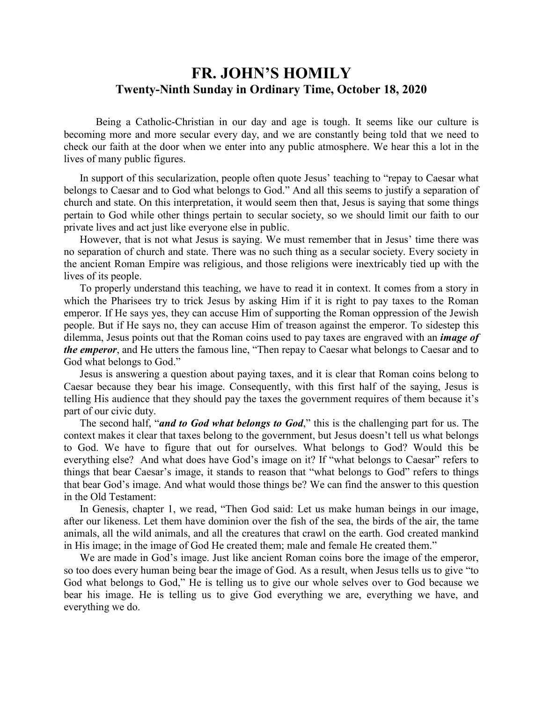## **FR. JOHN'S HOMILY Twenty-Ninth Sunday in Ordinary Time, October 18, 2020**

 Being a Catholic-Christian in our day and age is tough. It seems like our culture is becoming more and more secular every day, and we are constantly being told that we need to check our faith at the door when we enter into any public atmosphere. We hear this a lot in the lives of many public figures.

 In support of this secularization, people often quote Jesus' teaching to "repay to Caesar what belongs to Caesar and to God what belongs to God." And all this seems to justify a separation of church and state. On this interpretation, it would seem then that, Jesus is saying that some things pertain to God while other things pertain to secular society, so we should limit our faith to our private lives and act just like everyone else in public.

 However, that is not what Jesus is saying. We must remember that in Jesus' time there was no separation of church and state. There was no such thing as a secular society. Every society in the ancient Roman Empire was religious, and those religions were inextricably tied up with the lives of its people.

 To properly understand this teaching, we have to read it in context. It comes from a story in which the Pharisees try to trick Jesus by asking Him if it is right to pay taxes to the Roman emperor. If He says yes, they can accuse Him of supporting the Roman oppression of the Jewish people. But if He says no, they can accuse Him of treason against the emperor. To sidestep this dilemma, Jesus points out that the Roman coins used to pay taxes are engraved with an *image of the emperor*, and He utters the famous line, "Then repay to Caesar what belongs to Caesar and to God what belongs to God."

 Jesus is answering a question about paying taxes, and it is clear that Roman coins belong to Caesar because they bear his image. Consequently, with this first half of the saying, Jesus is telling His audience that they should pay the taxes the government requires of them because it's part of our civic duty.

 The second half, "*and to God what belongs to God*," this is the challenging part for us. The context makes it clear that taxes belong to the government, but Jesus doesn't tell us what belongs to God. We have to figure that out for ourselves. What belongs to God? Would this be everything else? And what does have God's image on it? If "what belongs to Caesar" refers to things that bear Caesar's image, it stands to reason that "what belongs to God" refers to things that bear God's image. And what would those things be? We can find the answer to this question in the Old Testament:

 In Genesis, chapter 1, we read, "Then God said: Let us make human beings in our image, after our likeness. Let them have dominion over the fish of the sea, the birds of the air, the tame animals, all the wild animals, and all the creatures that crawl on the earth. God created mankind in His image; in the image of God He created them; male and female He created them."

We are made in God's image. Just like ancient Roman coins bore the image of the emperor, so too does every human being bear the image of God. As a result, when Jesus tells us to give "to God what belongs to God," He is telling us to give our whole selves over to God because we bear his image. He is telling us to give God everything we are, everything we have, and everything we do.